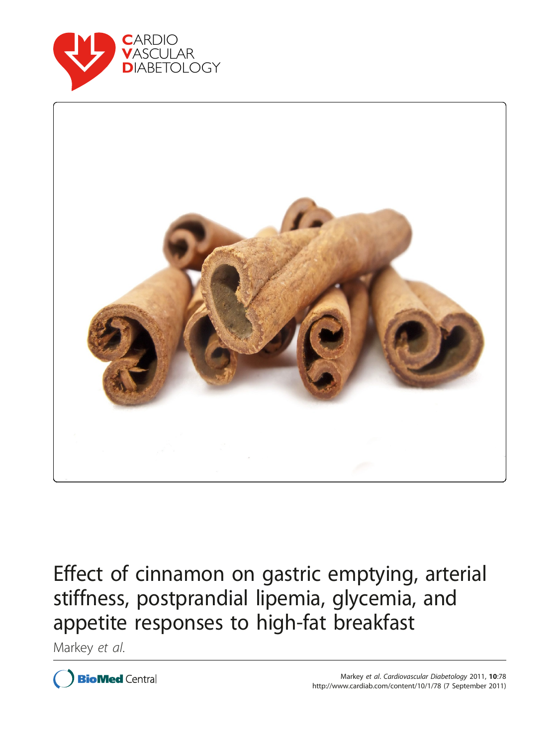



Effect of cinnamon on gastric emptying, arterial stiffness, postprandial lipemia, glycemia, and appetite responses to high-fat breakfast

Markey et al.

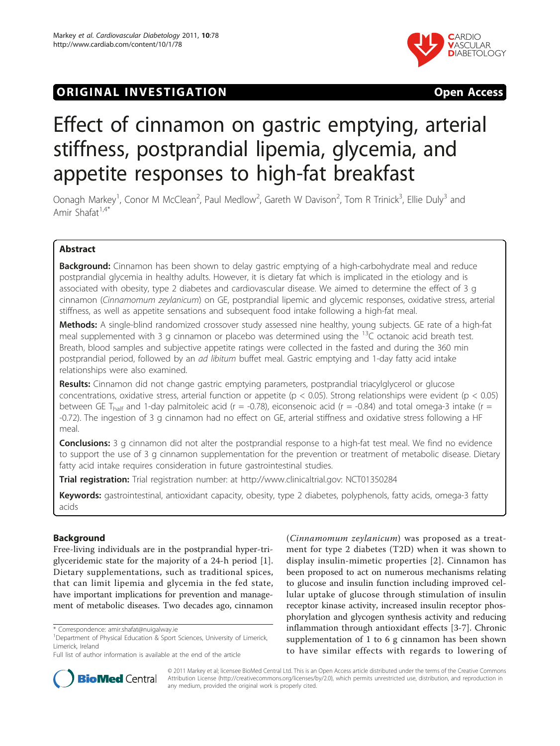# **ORIGINAL INVESTIGATION CONSUMING THE STATE OPEN ACCESS**



# Effect of cinnamon on gastric emptying, arterial stiffness, postprandial lipemia, glycemia, and appetite responses to high-fat breakfast

Oonagh Markey<sup>1</sup>, Conor M McClean<sup>2</sup>, Paul Medlow<sup>2</sup>, Gareth W Davison<sup>2</sup>, Tom R Trinick<sup>3</sup>, Ellie Duly<sup>3</sup> and Amir Shafat $1.4$ <sup>\*</sup>

# Abstract

**Background:** Cinnamon has been shown to delay gastric emptying of a high-carbohydrate meal and reduce postprandial glycemia in healthy adults. However, it is dietary fat which is implicated in the etiology and is associated with obesity, type 2 diabetes and cardiovascular disease. We aimed to determine the effect of 3 g cinnamon (Cinnamomum zeylanicum) on GE, postprandial lipemic and glycemic responses, oxidative stress, arterial stiffness, as well as appetite sensations and subsequent food intake following a high-fat meal.

Methods: A single-blind randomized crossover study assessed nine healthy, young subjects. GE rate of a high-fat meal supplemented with 3 g cinnamon or placebo was determined using the <sup>13</sup>C octanoic acid breath test. Breath, blood samples and subjective appetite ratings were collected in the fasted and during the 360 min postprandial period, followed by an ad libitum buffet meal. Gastric emptying and 1-day fatty acid intake relationships were also examined.

Results: Cinnamon did not change gastric emptying parameters, postprandial triacylglycerol or glucose concentrations, oxidative stress, arterial function or appetite ( $p < 0.05$ ). Strong relationships were evident ( $p < 0.05$ ) between GE T<sub>half</sub> and 1-day palmitoleic acid (r = -0.78), eiconsenoic acid (r = -0.84) and total omega-3 intake (r = -0.72). The ingestion of 3 g cinnamon had no effect on GE, arterial stiffness and oxidative stress following a HF meal.

**Conclusions:** 3 g cinnamon did not alter the postprandial response to a high-fat test meal. We find no evidence to support the use of 3 g cinnamon supplementation for the prevention or treatment of metabolic disease. Dietary fatty acid intake requires consideration in future gastrointestinal studies.

Trial registration: Trial registration number: at [http://www.clinicaltrial.gov:](http://www.clinicaltrial.gov) [NCT01350284](http://www.clinicaltrials.gov/ct2/show/NCT01350284)

Keywords: gastrointestinal, antioxidant capacity, obesity, type 2 diabetes, polyphenols, fatty acids, omega-3 fatty acids

# Background

Free-living individuals are in the postprandial hyper-triglyceridemic state for the majority of a 24-h period [\[1](#page-8-0)]. Dietary supplementations, such as traditional spices, that can limit lipemia and glycemia in the fed state, have important implications for prevention and management of metabolic diseases. Two decades ago, cinnamon (Cinnamomum zeylanicum) was proposed as a treatment for type 2 diabetes (T2D) when it was shown to display insulin-mimetic properties [[2](#page-8-0)]. Cinnamon has been proposed to act on numerous mechanisms relating to glucose and insulin function including improved cellular uptake of glucose through stimulation of insulin receptor kinase activity, increased insulin receptor phosphorylation and glycogen synthesis activity and reducing inflammation through antioxidant effects [[3-7](#page-8-0)]. Chronic supplementation of 1 to 6 g cinnamon has been shown to have similar effects with regards to lowering of



© 2011 Markey et al; licensee BioMed Central Ltd. This is an Open Access article distributed under the terms of the Creative Commons Attribution License [\(http://creativecommons.org/licenses/by/2.0](http://creativecommons.org/licenses/by/2.0)), which permits unrestricted use, distribution, and reproduction in any medium, provided the original work is properly cited.

<sup>\*</sup> Correspondence: [amir.shafat@nuigalway.ie](mailto:amir.shafat@nuigalway.ie)

<sup>&</sup>lt;sup>1</sup>Department of Physical Education & Sport Sciences, University of Limerick, Limerick, Ireland

Full list of author information is available at the end of the article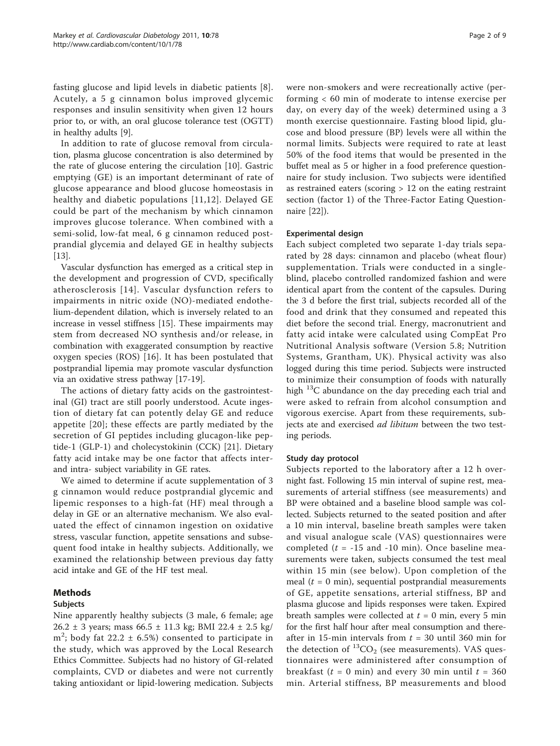fasting glucose and lipid levels in diabetic patients [[8](#page-8-0)]. Acutely, a 5 g cinnamon bolus improved glycemic responses and insulin sensitivity when given 12 hours prior to, or with, an oral glucose tolerance test (OGTT) in healthy adults [\[9](#page-8-0)].

In addition to rate of glucose removal from circulation, plasma glucose concentration is also determined by the rate of glucose entering the circulation [\[10](#page-8-0)]. Gastric emptying (GE) is an important determinant of rate of glucose appearance and blood glucose homeostasis in healthy and diabetic populations [[11](#page-8-0),[12](#page-8-0)]. Delayed GE could be part of the mechanism by which cinnamon improves glucose tolerance. When combined with a semi-solid, low-fat meal, 6 g cinnamon reduced postprandial glycemia and delayed GE in healthy subjects [[13\]](#page-8-0).

Vascular dysfunction has emerged as a critical step in the development and progression of CVD, specifically atherosclerosis [[14](#page-8-0)]. Vascular dysfunction refers to impairments in nitric oxide (NO)-mediated endothelium-dependent dilation, which is inversely related to an increase in vessel stiffness [\[15](#page-8-0)]. These impairments may stem from decreased NO synthesis and/or release, in combination with exaggerated consumption by reactive oxygen species (ROS) [[16](#page-8-0)]. It has been postulated that postprandial lipemia may promote vascular dysfunction via an oxidative stress pathway [[17-19\]](#page-8-0).

The actions of dietary fatty acids on the gastrointestinal (GI) tract are still poorly understood. Acute ingestion of dietary fat can potently delay GE and reduce appetite [\[20\]](#page-8-0); these effects are partly mediated by the secretion of GI peptides including glucagon-like peptide-1 (GLP-1) and cholecystokinin (CCK) [\[21](#page-8-0)]. Dietary fatty acid intake may be one factor that affects interand intra- subject variability in GE rates.

We aimed to determine if acute supplementation of 3 g cinnamon would reduce postprandial glycemic and lipemic responses to a high-fat (HF) meal through a delay in GE or an alternative mechanism. We also evaluated the effect of cinnamon ingestion on oxidative stress, vascular function, appetite sensations and subsequent food intake in healthy subjects. Additionally, we examined the relationship between previous day fatty acid intake and GE of the HF test meal.

## Methods

#### Subjects

Nine apparently healthy subjects (3 male, 6 female; age 26.2 ± 3 years; mass 66.5 ± 11.3 kg; BMI 22.4 ± 2.5 kg/  $m^2$ ; body fat 22.2  $\pm$  6.5%) consented to participate in the study, which was approved by the Local Research Ethics Committee. Subjects had no history of GI-related complaints, CVD or diabetes and were not currently taking antioxidant or lipid-lowering medication. Subjects were non-smokers and were recreationally active (performing < 60 min of moderate to intense exercise per day, on every day of the week) determined using a 3 month exercise questionnaire. Fasting blood lipid, glucose and blood pressure (BP) levels were all within the normal limits. Subjects were required to rate at least 50% of the food items that would be presented in the buffet meal as 5 or higher in a food preference questionnaire for study inclusion. Two subjects were identified as restrained eaters (scoring > 12 on the eating restraint section (factor 1) of the Three-Factor Eating Questionnaire [\[22](#page-8-0)]).

#### Experimental design

Each subject completed two separate 1-day trials separated by 28 days: cinnamon and placebo (wheat flour) supplementation. Trials were conducted in a singleblind, placebo controlled randomized fashion and were identical apart from the content of the capsules. During the 3 d before the first trial, subjects recorded all of the food and drink that they consumed and repeated this diet before the second trial. Energy, macronutrient and fatty acid intake were calculated using CompEat Pro Nutritional Analysis software (Version 5.8; Nutrition Systems, Grantham, UK). Physical activity was also logged during this time period. Subjects were instructed to minimize their consumption of foods with naturally high  $^{13}$ C abundance on the day preceding each trial and were asked to refrain from alcohol consumption and vigorous exercise. Apart from these requirements, subjects ate and exercised *ad libitum* between the two testing periods.

#### Study day protocol

Subjects reported to the laboratory after a 12 h overnight fast. Following 15 min interval of supine rest, measurements of arterial stiffness (see measurements) and BP were obtained and a baseline blood sample was collected. Subjects returned to the seated position and after a 10 min interval, baseline breath samples were taken and visual analogue scale (VAS) questionnaires were completed ( $t = -15$  and  $-10$  min). Once baseline measurements were taken, subjects consumed the test meal within 15 min (see below). Upon completion of the meal ( $t = 0$  min), sequential postprandial measurements of GE, appetite sensations, arterial stiffness, BP and plasma glucose and lipids responses were taken. Expired breath samples were collected at  $t = 0$  min, every 5 min for the first half hour after meal consumption and thereafter in 15-min intervals from  $t = 30$  until 360 min for the detection of  ${}^{13}CO_2$  (see measurements). VAS questionnaires were administered after consumption of breakfast ( $t = 0$  min) and every 30 min until  $t = 360$ min. Arterial stiffness, BP measurements and blood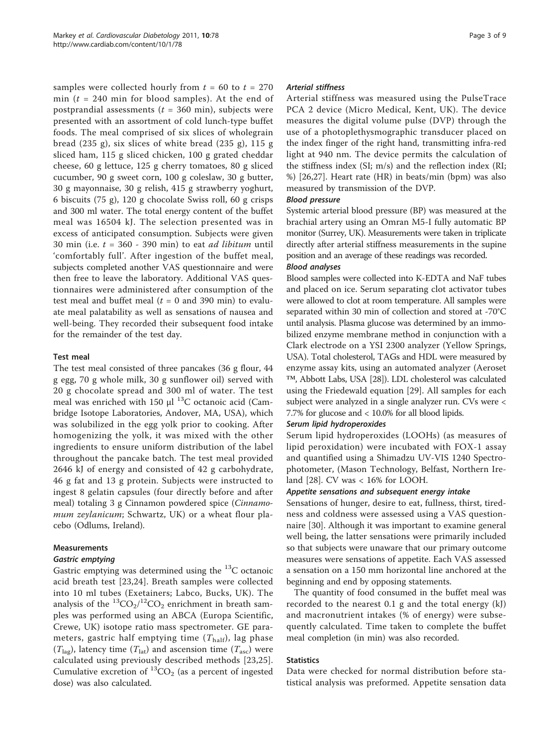samples were collected hourly from  $t = 60$  to  $t = 270$ min ( $t = 240$  min for blood samples). At the end of postprandial assessments ( $t = 360$  min), subjects were presented with an assortment of cold lunch-type buffet foods. The meal comprised of six slices of wholegrain bread (235 g), six slices of white bread (235 g), 115 g sliced ham, 115 g sliced chicken, 100 g grated cheddar cheese, 60 g lettuce, 125 g cherry tomatoes, 80 g sliced cucumber, 90 g sweet corn, 100 g coleslaw, 30 g butter, 30 g mayonnaise, 30 g relish, 415 g strawberry yoghurt, 6 biscuits (75 g), 120 g chocolate Swiss roll, 60 g crisps and 300 ml water. The total energy content of the buffet meal was 16504 kJ. The selection presented was in excess of anticipated consumption. Subjects were given 30 min (i.e.  $t = 360 - 390$  min) to eat *ad libitum* until 'comfortably full'. After ingestion of the buffet meal, subjects completed another VAS questionnaire and were then free to leave the laboratory. Additional VAS questionnaires were administered after consumption of the test meal and buffet meal ( $t = 0$  and 390 min) to evaluate meal palatability as well as sensations of nausea and well-being. They recorded their subsequent food intake for the remainder of the test day.

#### Test meal

The test meal consisted of three pancakes (36 g flour, 44 g egg, 70 g whole milk, 30 g sunflower oil) served with 20 g chocolate spread and 300 ml of water. The test meal was enriched with 150  $\mu$ l <sup>13</sup>C octanoic acid (Cambridge Isotope Laboratories, Andover, MA, USA), which was solubilized in the egg yolk prior to cooking. After homogenizing the yolk, it was mixed with the other ingredients to ensure uniform distribution of the label throughout the pancake batch. The test meal provided 2646 kJ of energy and consisted of 42 g carbohydrate, 46 g fat and 13 g protein. Subjects were instructed to ingest 8 gelatin capsules (four directly before and after meal) totaling 3 g Cinnamon powdered spice (Cinnamomum zeylanicum; Schwartz, UK) or a wheat flour placebo (Odlums, Ireland).

#### Measurements

#### Gastric emptying

Gastric emptying was determined using the  $^{13}$ C octanoic acid breath test [[23,24](#page-8-0)]. Breath samples were collected into 10 ml tubes (Exetainers; Labco, Bucks, UK). The analysis of the  $\rm ^{13}CO_{2}/\rm ^{12}CO_{2}$  enrichment in breath samples was performed using an ABCA (Europa Scientific, Crewe, UK) isotope ratio mass spectrometer. GE parameters, gastric half emptying time  $(T_{\text{half}})$ , lag phase  $(T_{\text{lag}})$ , latency time  $(T_{\text{lat}})$  and ascension time  $(T_{\text{asc}})$  were calculated using previously described methods [\[23,25](#page-8-0)]. Cumulative excretion of  ${}^{13}CO_2$  (as a percent of ingested dose) was also calculated.

#### Arterial stiffness

Arterial stiffness was measured using the PulseTrace PCA 2 device (Micro Medical, Kent, UK). The device measures the digital volume pulse (DVP) through the use of a photoplethysmographic transducer placed on the index finger of the right hand, transmitting infra-red light at 940 nm. The device permits the calculation of the stiffness index (SI; m/s) and the reflection index (RI; %) [\[26](#page-8-0)[,27](#page-9-0)]. Heart rate (HR) in beats/min (bpm) was also measured by transmission of the DVP.

#### Blood pressure

Systemic arterial blood pressure (BP) was measured at the brachial artery using an Omran M5-I fully automatic BP monitor (Surrey, UK). Measurements were taken in triplicate directly after arterial stiffness measurements in the supine position and an average of these readings was recorded.

#### Blood analyses

Blood samples were collected into K-EDTA and NaF tubes and placed on ice. Serum separating clot activator tubes were allowed to clot at room temperature. All samples were separated within 30 min of collection and stored at -70°C until analysis. Plasma glucose was determined by an immobilized enzyme membrane method in conjunction with a Clark electrode on a YSI 2300 analyzer (Yellow Springs, USA). Total cholesterol, TAGs and HDL were measured by enzyme assay kits, using an automated analyzer (Aeroset ™, Abbott Labs, USA [\[28\]](#page-9-0)). LDL cholesterol was calculated using the Friedewald equation [[29\]](#page-9-0). All samples for each subject were analyzed in a single analyzer run. CVs were < 7.7% for glucose and < 10.0% for all blood lipids.

#### Serum lipid hydroperoxides

Serum lipid hydroperoxides (LOOHs) (as measures of lipid peroxidation) were incubated with FOX-1 assay and quantified using a Shimadzu UV-VIS 1240 Spectrophotometer, (Mason Technology, Belfast, Northern Ireland [[28](#page-9-0)]. CV was < 16% for LOOH.

#### Appetite sensations and subsequent energy intake

Sensations of hunger, desire to eat, fullness, thirst, tiredness and coldness were assessed using a VAS questionnaire [\[30](#page-9-0)]. Although it was important to examine general well being, the latter sensations were primarily included so that subjects were unaware that our primary outcome measures were sensations of appetite. Each VAS assessed a sensation on a 150 mm horizontal line anchored at the beginning and end by opposing statements.

The quantity of food consumed in the buffet meal was recorded to the nearest 0.1 g and the total energy (kJ) and macronutrient intakes (% of energy) were subsequently calculated. Time taken to complete the buffet meal completion (in min) was also recorded.

#### **Statistics**

Data were checked for normal distribution before statistical analysis was preformed. Appetite sensation data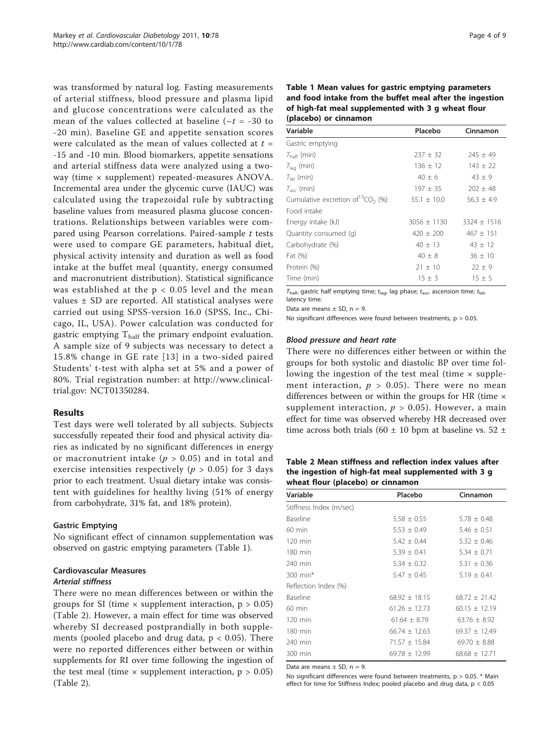<span id="page-4-0"></span>was transformed by natural log. Fasting measurements of arterial stiffness, blood pressure and plasma lipid and glucose concentrations were calculated as the mean of the values collected at baseline ( $\sim t = -30$  to -20 min). Baseline GE and appetite sensation scores were calculated as the mean of values collected at  $t =$ -15 and -10 min. Blood biomarkers, appetite sensations and arterial stiffness data were analyzed using a twoway (time × supplement) repeated-measures ANOVA. Incremental area under the glycemic curve (IAUC) was calculated using the trapezoidal rule by subtracting baseline values from measured plasma glucose concentrations. Relationships between variables were compared using Pearson correlations. Paired-sample t tests were used to compare GE parameters, habitual diet, physical activity intensity and duration as well as food intake at the buffet meal (quantity, energy consumed and macronutrient distribution). Statistical significance was established at the  $p < 0.05$  level and the mean values ± SD are reported. All statistical analyses were carried out using SPSS-version 16.0 (SPSS, Inc., Chicago, IL, USA). Power calculation was conducted for gastric emptying  $T_{half}$  the primary endpoint evaluation. A sample size of 9 subjects was necessary to detect a 15.8% change in GE rate [[13\]](#page-8-0) in a two-sided paired Students' t-test with alpha set at 5% and a power of 80%. Trial registration number: at [http://www.clinical](http://www.clinicaltrial.gov)[trial.gov](http://www.clinicaltrial.gov): NCT01350284.

#### Results

Test days were well tolerated by all subjects. Subjects successfully repeated their food and physical activity diaries as indicated by no significant differences in energy or macronutrient intake ( $p > 0.05$ ) and in total and exercise intensities respectively ( $p > 0.05$ ) for 3 days prior to each treatment. Usual dietary intake was consistent with guidelines for healthy living (51% of energy from carbohydrate, 31% fat, and 18% protein).

#### Gastric Emptying

No significant effect of cinnamon supplementation was observed on gastric emptying parameters (Table 1).

# Cardiovascular Measures

## Arterial stiffness

There were no mean differences between or within the groups for SI (time  $\times$  supplement interaction,  $p > 0.05$ ) (Table 2). However, a main effect for time was observed whereby SI decreased postprandially in both supplements (pooled placebo and drug data,  $p < 0.05$ ). There were no reported differences either between or within supplements for RI over time following the ingestion of the test meal (time  $\times$  supplement interaction,  $p > 0.05$ ) (Table 2).

| Table 1 Mean values for gastric emptying parameters      |
|----------------------------------------------------------|
| and food intake from the buffet meal after the ingestion |
| of high-fat meal supplemented with 3 g wheat flour       |
| (placebo) or cinnamon                                    |

| Variable                                  | Placebo         | Cinnamon        |  |
|-------------------------------------------|-----------------|-----------------|--|
| Gastric emptying                          |                 |                 |  |
| $T_{\text{half}}$ (min)                   | $237 \pm 32$    | $245 \pm 49$    |  |
| $T_{\text{la}}$ (min)                     | $136 \pm 12$    | $143 \pm 22$    |  |
| $T_{\text{lat}}$ (min)                    | $40 \pm 6$      | $43 \pm 9$      |  |
| $T_{\rm asc}$ (min)                       | $197 \pm 35$    | $202 \pm 48$    |  |
| Cumulative excretion of ${}^{13}CO_2$ (%) | $55.1 \pm 10.0$ | $56.3 \pm 4.9$  |  |
| Food intake                               |                 |                 |  |
| Energy intake (kJ)                        | $3056 \pm 1130$ | $3324 \pm 1516$ |  |
| Quantity consumed (q)                     | $420 \pm 200$   | $467 \pm 151$   |  |
| Carbohydrate (%)                          | $40 \pm 13$     | $43 \pm 12$     |  |
| Fat (%)                                   | $40 \pm 8$      | $36 \pm 10$     |  |
| Protein (%)                               | $21 \pm 10$     | $22 \pm 9$      |  |
| Time (min)                                | $15 \pm 3$      | $15 \pm 5$      |  |

 $T_{\text{half}}$ , gastric half emptying time;  $t_{\text{lag}}$ , lag phase;  $t_{\text{asc}}$ , ascension time;  $t_{\text{lat}}$ latency time.

Data are means  $\pm$  SD,  $n = 9$ .

No significant differences were found between treatments,  $p > 0.05$ .

#### Blood pressure and heart rate

There were no differences either between or within the groups for both systolic and diastolic BP over time following the ingestion of the test meal (time  $\times$  supplement interaction,  $p > 0.05$ ). There were no mean differences between or within the groups for HR (time  $\times$ supplement interaction,  $p > 0.05$ ). However, a main effect for time was observed whereby HR decreased over time across both trials (60  $\pm$  10 bpm at baseline vs. 52  $\pm$ 

Table 2 Mean stiffness and reflection index values after the ingestion of high-fat meal supplemented with 3 g wheat flour (placebo) or cinnamon

| Variable                | Placebo           | Cinnamon          |
|-------------------------|-------------------|-------------------|
| Stiffness Index (m/sec) |                   |                   |
| Baseline                | $5.58 \pm 0.55$   | $5.78 + 0.48$     |
| $60$ min                | $5.53 \pm 0.49$   | $5.46 \pm 0.51$   |
| $120 \text{ min}$       | $5.42 \pm 0.44$   | $5.32 \pm 0.46$   |
| 180 min                 | $5.39 \pm 0.41$   | $5.34 \pm 0.71$   |
| 240 min                 | $5.34 \pm 0.32$   | $5.31 + 0.36$     |
| $300 \text{ min}^*$     | $5.47 + 0.45$     | $5.19 + 0.41$     |
| Reflection Index (%)    |                   |                   |
| Baseline                | $68.92 \pm 18.15$ | $68.72 + 21.42$   |
| $60$ min                | $61.26 \pm 12.73$ | $60.15 \pm 12.19$ |
| $120 \text{ min}$       | $61.64 \pm 8.79$  | $63.76 + 8.92$    |
| $180 \text{ min}$       | $66.74 + 12.63$   | $69.37 + 12.49$   |
| 240 min                 | $71.57 \pm 15.84$ | 69.70 $\pm$ 8.88  |
| 300 min                 | $69.78 + 12.99$   | $68.68 + 12.71$   |

Data are means  $\pm$  SD, n = 9.

No significant differences were found between treatments,  $p > 0.05$ . \* Main effect for time for Stiffness Index; pooled placebo and drug data, p < 0.05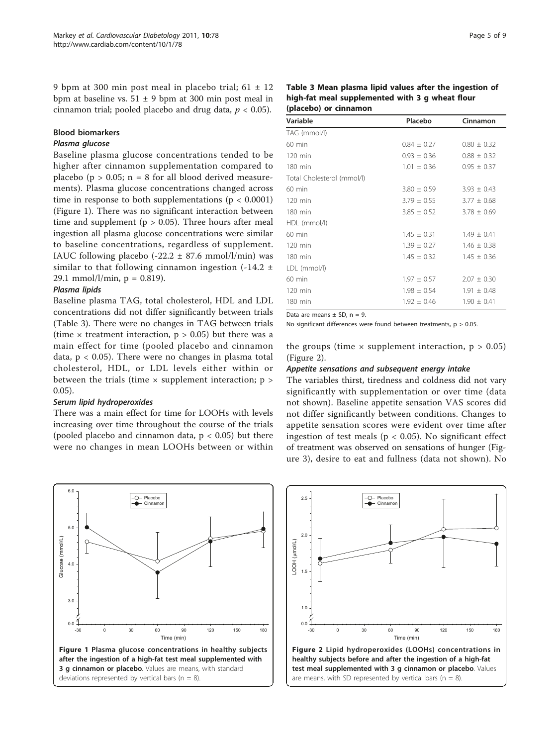9 bpm at 300 min post meal in placebo trial;  $61 \pm 12$ bpm at baseline vs.  $51 \pm 9$  bpm at 300 min post meal in cinnamon trial; pooled placebo and drug data,  $p < 0.05$ ).

#### Blood biomarkers

#### Plasma glucose

Baseline plasma glucose concentrations tended to be higher after cinnamon supplementation compared to placebo ( $p > 0.05$ ;  $n = 8$  for all blood derived measurements). Plasma glucose concentrations changed across time in response to both supplementations ( $p < 0.0001$ ) (Figure 1). There was no significant interaction between time and supplement ( $p > 0.05$ ). Three hours after meal ingestion all plasma glucose concentrations were similar to baseline concentrations, regardless of supplement. IAUC following placebo  $(-22.2 \pm 87.6 \text{ mmol/l/min})$  was similar to that following cinnamon ingestion  $(-14.2 \pm 1)$ 29.1 mmol/l/min,  $p = 0.819$ ).

#### Plasma lipids

Baseline plasma TAG, total cholesterol, HDL and LDL concentrations did not differ significantly between trials (Table 3). There were no changes in TAG between trials (time  $\times$  treatment interaction,  $p > 0.05$ ) but there was a main effect for time (pooled placebo and cinnamon data,  $p < 0.05$ ). There were no changes in plasma total cholesterol, HDL, or LDL levels either within or between the trials (time  $\times$  supplement interaction;  $p >$ 0.05).

#### Serum lipid hydroperoxides

There was a main effect for time for LOOHs with levels increasing over time throughout the course of the trials (pooled placebo and cinnamon data,  $p < 0.05$ ) but there were no changes in mean LOOHs between or within



Table 3 Mean plasma lipid values after the ingestion of high-fat meal supplemented with 3 g wheat flour (placebo) or cinnamon

| Variable                   | Placebo<br>Cinnamon                |                 |
|----------------------------|------------------------------------|-----------------|
| TAG (mmol/l)               |                                    |                 |
| $60$ min                   | $0.84 \pm 0.27$                    | $0.80 \pm 0.32$ |
| $120$ min                  | $0.93 \pm 0.36$                    | $0.88 \pm 0.32$ |
| 180 min                    | $1.01 + 0.36$<br>$0.95 \pm 0.37$   |                 |
| Total Cholesterol (mmol/l) |                                    |                 |
| $60$ min                   | $3.80 \pm 0.59$                    | $3.93 + 0.43$   |
| 120 min                    | $3.79 \pm 0.55$                    | $3.77 \pm 0.68$ |
| 180 min                    | $3.85 \pm 0.52$<br>$3.78 \pm 0.69$ |                 |
| HDL (mmol/l)               |                                    |                 |
| $60$ min                   | $1.45 \pm 0.31$                    | $1.49 \pm 0.41$ |
| $120$ min                  | $1.39 + 0.27$                      | $1.46 + 0.38$   |
| 180 min                    | $1.45 \pm 0.32$                    | $1.45 \pm 0.36$ |
| LDL (mmol/l)               |                                    |                 |
| $60$ min                   | $1.97 \pm 0.57$                    | $2.07 \pm 0.30$ |
| $120$ min                  | $1.98 \pm 0.54$                    | $1.91 \pm 0.48$ |
| 180 min                    | $1.92 \pm 0.46$                    | $1.90 \pm 0.41$ |

Data are means  $\pm$  SD,  $n = 9$ .

No significant differences were found between treatments,  $p > 0.05$ .

the groups (time  $\times$  supplement interaction,  $p > 0.05$ ) (Figure 2).

#### Appetite sensations and subsequent energy intake

The variables thirst, tiredness and coldness did not vary significantly with supplementation or over time (data not shown). Baseline appetite sensation VAS scores did not differ significantly between conditions. Changes to appetite sensation scores were evident over time after ingestion of test meals ( $p < 0.05$ ). No significant effect of treatment was observed on sensations of hunger (Figure [3](#page-6-0)), desire to eat and fullness (data not shown). No

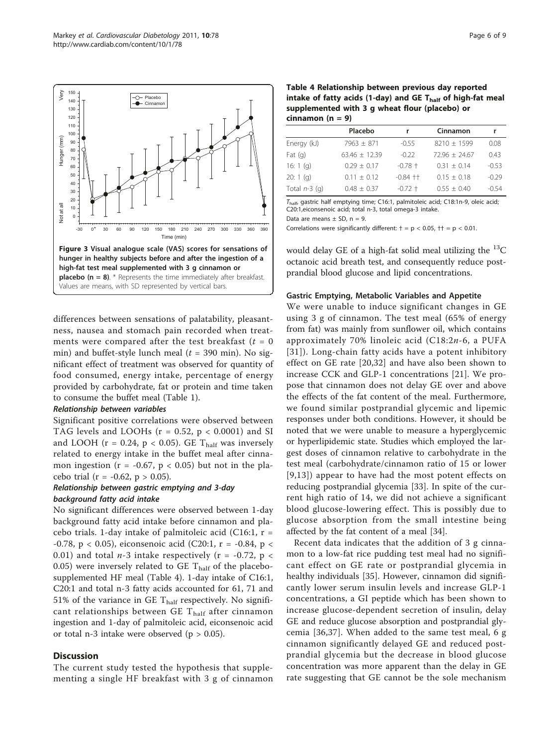<span id="page-6-0"></span>

differences between sensations of palatability, pleasantness, nausea and stomach pain recorded when treatments were compared after the test breakfast  $(t = 0)$ min) and buffet-style lunch meal ( $t = 390$  min). No significant effect of treatment was observed for quantity of food consumed, energy intake, percentage of energy provided by carbohydrate, fat or protein and time taken to consume the buffet meal (Table [1\)](#page-4-0).

#### Relationship between variables

Significant positive correlations were observed between TAG levels and LOOHs ( $r = 0.52$ ,  $p < 0.0001$ ) and SI and LOOH ( $r = 0.24$ ,  $p < 0.05$ ). GE T<sub>half</sub> was inversely related to energy intake in the buffet meal after cinnamon ingestion ( $r = -0.67$ ,  $p < 0.05$ ) but not in the placebo trial ( $r = -0.62$ ,  $p > 0.05$ ).

#### Relationship between gastric emptying and 3-day background fatty acid intake

No significant differences were observed between 1-day background fatty acid intake before cinnamon and placebo trials. 1-day intake of palmitoleic acid (C16:1,  $r =$ -0.78, p < 0.05), eiconsenoic acid (C20:1, r = -0.84, p < 0.01) and total  $n-3$  intake respectively (r = -0.72, p < 0.05) were inversely related to GE  $T_{half}$  of the placebosupplemented HF meal (Table 4). 1-day intake of C16:1, C20:1 and total n-3 fatty acids accounted for 61, 71 and 51% of the variance in GE  $T_{half}$  respectively. No significant relationships between GE  $T_{half}$  after cinnamon ingestion and 1-day of palmitoleic acid, eiconsenoic acid or total n-3 intake were observed ( $p > 0.05$ ).

#### **Discussion**

The current study tested the hypothesis that supplementing a single HF breakfast with 3 g of cinnamon

Table 4 Relationship between previous day reported intake of fatty acids (1-day) and GE  $T_{half}$  of high-fat meal supplemented with 3 g wheat flour (placebo) or cinnamon  $(n = 9)$ 

|                 | Placebo         |              | Cinnamon        |         |
|-----------------|-----------------|--------------|-----------------|---------|
| Energy (kJ)     | $7963 + 871$    | $-0.55$      | $8210 + 1599$   | 0.08    |
| Fat $(q)$       | $63.46 + 12.39$ | $-0.22$      | $72.96 + 24.67$ | 0.43    |
| 16: 1 $(q)$     | $0.29 + 0.17$   | $-0.78 +$    | $0.31 + 0.14$   | $-0.53$ |
| 20:1(q)         | $0.11 + 0.12$   | $-0.84$ $++$ | $0.15 + 0.18$   | $-0.29$ |
| Total $n-3$ (q) | $0.48 + 0.37$   | $-0.72 +$    | $0.55 + 0.40$   | $-0.54$ |

 $T_{\text{half}}$ , gastric half emptying time; C16:1, palmitoleic acid; C18:1n-9, oleic acid; C20:1,eiconsenoic acid; total n-3, total omega-3 intake.

Data are means  $\pm$  SD, n = 9.

Correlations were significantly different:  $\dagger = p < 0.05$ ,  $\dagger \dagger = p < 0.01$ .

would delay GE of a high-fat solid meal utilizing the  $^{13}C$ octanoic acid breath test, and consequently reduce postprandial blood glucose and lipid concentrations.

#### Gastric Emptying, Metabolic Variables and Appetite

We were unable to induce significant changes in GE using 3 g of cinnamon. The test meal (65% of energy from fat) was mainly from sunflower oil, which contains approximately 70% linoleic acid  $(C18:2n-6, a$  PUFA [[31\]](#page-9-0)). Long-chain fatty acids have a potent inhibitory effect on GE rate [[20](#page-8-0),[32\]](#page-9-0) and have also been shown to increase CCK and GLP-1 concentrations [[21\]](#page-8-0). We propose that cinnamon does not delay GE over and above the effects of the fat content of the meal. Furthermore, we found similar postprandial glycemic and lipemic responses under both conditions. However, it should be noted that we were unable to measure a hyperglycemic or hyperlipidemic state. Studies which employed the largest doses of cinnamon relative to carbohydrate in the test meal (carbohydrate/cinnamon ratio of 15 or lower [[9](#page-8-0),[13\]](#page-8-0)) appear to have had the most potent effects on reducing postprandial glycemia [[33](#page-9-0)]. In spite of the current high ratio of 14, we did not achieve a significant blood glucose-lowering effect. This is possibly due to glucose absorption from the small intestine being affected by the fat content of a meal [[34](#page-9-0)].

Recent data indicates that the addition of 3 g cinnamon to a low-fat rice pudding test meal had no significant effect on GE rate or postprandial glycemia in healthy individuals [[35\]](#page-9-0). However, cinnamon did significantly lower serum insulin levels and increase GLP-1 concentrations, a GI peptide which has been shown to increase glucose-dependent secretion of insulin, delay GE and reduce glucose absorption and postprandial glycemia [\[36,37](#page-9-0)]. When added to the same test meal, 6 g cinnamon significantly delayed GE and reduced postprandial glycemia but the decrease in blood glucose concentration was more apparent than the delay in GE rate suggesting that GE cannot be the sole mechanism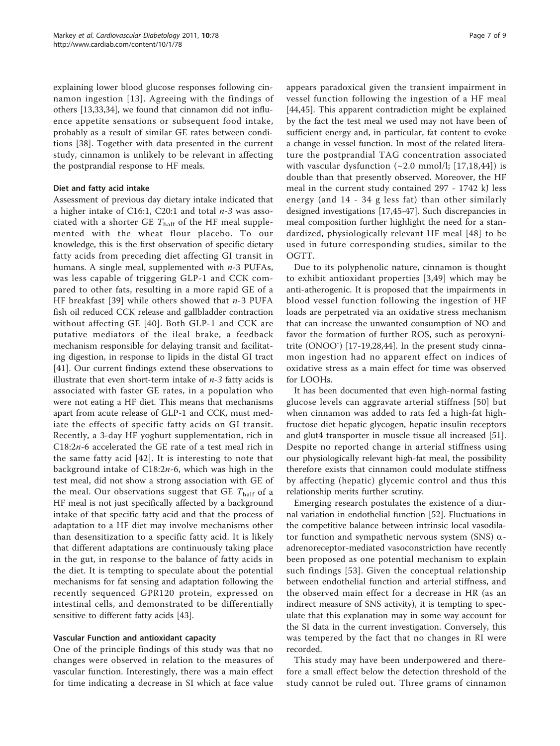explaining lower blood glucose responses following cinnamon ingestion [\[13](#page-8-0)]. Agreeing with the findings of others [\[13](#page-8-0)[,33,34\]](#page-9-0), we found that cinnamon did not influence appetite sensations or subsequent food intake, probably as a result of similar GE rates between conditions [[38](#page-9-0)]. Together with data presented in the current study, cinnamon is unlikely to be relevant in affecting the postprandial response to HF meals.

#### Diet and fatty acid intake

Assessment of previous day dietary intake indicated that a higher intake of C16:1, C20:1 and total  $n-3$  was associated with a shorter GE  $T_{\text{half}}$  of the HF meal supplemented with the wheat flour placebo. To our knowledge, this is the first observation of specific dietary fatty acids from preceding diet affecting GI transit in humans. A single meal, supplemented with  $n-3$  PUFAs, was less capable of triggering GLP-1 and CCK compared to other fats, resulting in a more rapid GE of a HF breakfast [[39\]](#page-9-0) while others showed that  $n-3$  PUFA fish oil reduced CCK release and gallbladder contraction without affecting GE [\[40\]](#page-9-0). Both GLP-1 and CCK are putative mediators of the ileal brake, a feedback mechanism responsible for delaying transit and facilitating digestion, in response to lipids in the distal GI tract [[41\]](#page-9-0). Our current findings extend these observations to illustrate that even short-term intake of  $n-3$  fatty acids is associated with faster GE rates, in a population who were not eating a HF diet. This means that mechanisms apart from acute release of GLP-1 and CCK, must mediate the effects of specific fatty acids on GI transit. Recently, a 3-day HF yoghurt supplementation, rich in C18:2n-6 accelerated the GE rate of a test meal rich in the same fatty acid [[42\]](#page-9-0). It is interesting to note that background intake of C18:2n-6, which was high in the test meal, did not show a strong association with GE of the meal. Our observations suggest that GE  $T_{\text{half}}$  of a HF meal is not just specifically affected by a background intake of that specific fatty acid and that the process of adaptation to a HF diet may involve mechanisms other than desensitization to a specific fatty acid. It is likely that different adaptations are continuously taking place in the gut, in response to the balance of fatty acids in the diet. It is tempting to speculate about the potential mechanisms for fat sensing and adaptation following the recently sequenced GPR120 protein, expressed on intestinal cells, and demonstrated to be differentially sensitive to different fatty acids [\[43\]](#page-9-0).

#### Vascular Function and antioxidant capacity

One of the principle findings of this study was that no changes were observed in relation to the measures of vascular function. Interestingly, there was a main effect for time indicating a decrease in SI which at face value appears paradoxical given the transient impairment in vessel function following the ingestion of a HF meal [[44,45\]](#page-9-0). This apparent contradiction might be explained by the fact the test meal we used may not have been of sufficient energy and, in particular, fat content to evoke a change in vessel function. In most of the related literature the postprandial TAG concentration associated with vascular dysfunction  $(\sim 2.0 \text{ mmol/l}; [17,18,44])$  $(\sim 2.0 \text{ mmol/l}; [17,18,44])$  $(\sim 2.0 \text{ mmol/l}; [17,18,44])$  $(\sim 2.0 \text{ mmol/l}; [17,18,44])$  $(\sim 2.0 \text{ mmol/l}; [17,18,44])$  $(\sim 2.0 \text{ mmol/l}; [17,18,44])$  is double than that presently observed. Moreover, the HF meal in the current study contained 297 - 1742 kJ less energy (and 14 - 34 g less fat) than other similarly designed investigations [[17,](#page-8-0)[45-47](#page-9-0)]. Such discrepancies in meal composition further highlight the need for a standardized, physiologically relevant HF meal [[48](#page-9-0)] to be used in future corresponding studies, similar to the OGTT.

Due to its polyphenolic nature, cinnamon is thought to exhibit antioxidant properties [\[3,](#page-8-0)[49](#page-9-0)] which may be anti-atherogenic. It is proposed that the impairments in blood vessel function following the ingestion of HF loads are perpetrated via an oxidative stress mechanism that can increase the unwanted consumption of NO and favor the formation of further ROS, such as peroxyni-trite (ONOO<sup>-</sup>) [[17-19,](#page-8-0)[28,44\]](#page-9-0). In the present study cinnamon ingestion had no apparent effect on indices of oxidative stress as a main effect for time was observed for LOOHs.

It has been documented that even high-normal fasting glucose levels can aggravate arterial stiffness [[50](#page-9-0)] but when cinnamon was added to rats fed a high-fat highfructose diet hepatic glycogen, hepatic insulin receptors and glut4 transporter in muscle tissue all increased [\[51](#page-9-0)]. Despite no reported change in arterial stiffness using our physiologically relevant high-fat meal, the possibility therefore exists that cinnamon could modulate stiffness by affecting (hepatic) glycemic control and thus this relationship merits further scrutiny.

Emerging research postulates the existence of a diurnal variation in endothelial function [[52\]](#page-9-0). Fluctuations in the competitive balance between intrinsic local vasodilator function and sympathetic nervous system (SNS)  $\alpha$ adrenoreceptor-mediated vasoconstriction have recently been proposed as one potential mechanism to explain such findings [[53\]](#page-9-0). Given the conceptual relationship between endothelial function and arterial stiffness, and the observed main effect for a decrease in HR (as an indirect measure of SNS activity), it is tempting to speculate that this explanation may in some way account for the SI data in the current investigation. Conversely, this was tempered by the fact that no changes in RI were recorded.

This study may have been underpowered and therefore a small effect below the detection threshold of the study cannot be ruled out. Three grams of cinnamon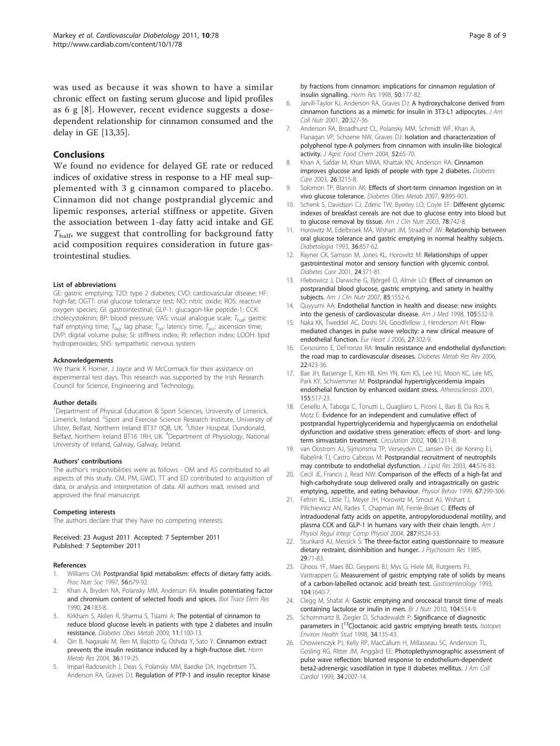<span id="page-8-0"></span>was used as because it was shown to have a similar chronic effect on fasting serum glucose and lipid profiles as 6 g [8]. However, recent evidence suggests a dosedependent relationship for cinnamon consumed and the delay in GE [13,[35\]](#page-9-0).

#### Conclusions

We found no evidence for delayed GE rate or reduced indices of oxidative stress in response to a HF meal supplemented with 3 g cinnamon compared to placebo. Cinnamon did not change postprandial glycemic and lipemic responses, arterial stiffness or appetite. Given the association between 1-day fatty acid intake and GE  $T_{\text{half}}$ , we suggest that controlling for background fatty acid composition requires consideration in future gastrointestinal studies.

#### List of abbreviations

GE: gastric emptying; T2D: type 2 diabetes; CVD: cardiovascular disease; HF: high-fat; OGTT: oral glucose tolerance test; NO: nitric oxide; ROS: reactive oxygen species; GI: gastrointestinal; GLP-1: glucagon-like peptide-1; CCK: cholecystokinin; BP: blood pressure; VAS: visual analogue scale; Thalf: gastric half emptying time;  $T_{\text{lag}}$ : lag phase;  $T_{\text{lat}}$ : latency time;  $T_{\text{asc}}$ : ascension time; DVP: digital volume pulse; SI: stiffness index; RI: reflection index; LOOH: lipid hydroperoxides; SNS: sympathetic nervous system

#### Acknowledgements

We thank K Horner, J Joyce and W McCormack for their assistance on experimental test days. This research was supported by the Irish Research Council for Science, Engineering and Technology.

#### Author details

<sup>1</sup>Department of Physical Education & Sport Sciences, University of Limerick, Limerick, Ireland. <sup>2</sup>Sport and Exercise Science Research Institute, University of Ulster, Belfast, Northern Ireland BT37 0QB, UK. <sup>3</sup>Ulster Hospital, Dundonald, Belfast, Northern Ireland BT16 1RH, UK. <sup>4</sup>Department of Physiology, National University of Ireland, Galway, Galway, Ireland.

#### Authors' contributions

The author's responsibilities were as follows - OM and AS contributed to all aspects of this study. CM, PM, GWD, TT and ED contributed to acquisition of data, or analysis and interpretation of data. All authors read, revised and approved the final manuscript.

#### Competing interests

The authors declare that they have no competing interests.

Received: 23 August 2011 Accepted: 7 September 2011 Published: 7 September 2011

#### References

- Williams CM: [Postprandial lipid metabolism: effects of dietary fatty acids.](http://www.ncbi.nlm.nih.gov/pubmed/9264118?dopt=Abstract) Proc Nutr Soc 1997, 56:679-92.
- Khan A, Bryden NA, Polansky MM, Anderson RA: [Insulin potentiating factor](http://www.ncbi.nlm.nih.gov/pubmed/1702671?dopt=Abstract) [and chromium content of selected foods and spices.](http://www.ncbi.nlm.nih.gov/pubmed/1702671?dopt=Abstract) Biol Trace Elem Res 1990, 24:183-8.
- Kirkham S, Akilen R, Sharma S, Tsiami A: [The potential of cinnamon to](http://www.ncbi.nlm.nih.gov/pubmed/19930003?dopt=Abstract) [reduce blood glucose levels in patients with type 2 diabetes and insulin](http://www.ncbi.nlm.nih.gov/pubmed/19930003?dopt=Abstract) [resistance.](http://www.ncbi.nlm.nih.gov/pubmed/19930003?dopt=Abstract) Diabetes Obes Metab 2009, 11:1100-13.
- 4. Qin B, Nagasaki M, Ren M, Bajotto G, Oshida Y, Sato Y: [Cinnamon extract](http://www.ncbi.nlm.nih.gov/pubmed/15002064?dopt=Abstract) [prevents the insulin resistance induced by a high-fructose diet.](http://www.ncbi.nlm.nih.gov/pubmed/15002064?dopt=Abstract) Horm Metab Res 2004, 36:119-25.
- 5. Imparl-Radosevich J, Deas S, Polansky MM, Baedke DA, Ingebritsen TS, Anderson RA, Graves DJ: [Regulation of PTP-1 and insulin receptor kinase](http://www.ncbi.nlm.nih.gov/pubmed/9762007?dopt=Abstract)

[by fractions from cinnamon: implications for cinnamon regulation of](http://www.ncbi.nlm.nih.gov/pubmed/9762007?dopt=Abstract) [insulin signalling.](http://www.ncbi.nlm.nih.gov/pubmed/9762007?dopt=Abstract) Horm Res 1998, 50:177-82.

- 6. Jarvill-Taylor KJ, Anderson RA, Graves DJ: [A hydroxychalcone derived from](http://www.ncbi.nlm.nih.gov/pubmed/11506060?dopt=Abstract) [cinnamon functions as a mimetic for insulin in 3T3-L1 adipocytes.](http://www.ncbi.nlm.nih.gov/pubmed/11506060?dopt=Abstract) J Am Coll Nutr 2001, 20:327-36.
- 7. Anderson RA, Broadhurst CL, Polansky MM, Schmidt WF, Khan A, Flanagan VP, Schoene NW, Graves DJ: [Isolation and characterization of](http://www.ncbi.nlm.nih.gov/pubmed/14709014?dopt=Abstract) [polyphenol type-A polymers from cinnamon with insulin-like biological](http://www.ncbi.nlm.nih.gov/pubmed/14709014?dopt=Abstract) [activity.](http://www.ncbi.nlm.nih.gov/pubmed/14709014?dopt=Abstract) J Agric Food Chem 2004, 52:65-70.
- 8. Khan A, Safdar M, Khan MMA, Khattak KN, Anderson RA: [Cinnamon](http://www.ncbi.nlm.nih.gov/pubmed/14633804?dopt=Abstract) [improves glucose and lipids of people with type 2 diabetes.](http://www.ncbi.nlm.nih.gov/pubmed/14633804?dopt=Abstract) Diabetes Care 2003, 26:3215-8.
- 9. Solomon TP, Blannin AK: [Effects of short-term cinnamon ingestion on in](http://www.ncbi.nlm.nih.gov/pubmed/17924872?dopt=Abstract) [vivo glucose tolerance.](http://www.ncbi.nlm.nih.gov/pubmed/17924872?dopt=Abstract) Diabetes Obes Metab 2007, 9:895-901.
- 10. Schenk S, Davidson CJ, Zderic TW, Byerley LO, Coyle EF: [Different glycemic](http://www.ncbi.nlm.nih.gov/pubmed/14522732?dopt=Abstract) [indexes of breakfast cereals are not due to glucose entry into blood but](http://www.ncbi.nlm.nih.gov/pubmed/14522732?dopt=Abstract) [to glucose removal by tissue.](http://www.ncbi.nlm.nih.gov/pubmed/14522732?dopt=Abstract) Am J Clin Nutr 2003, 78:742-8.
- 11. Horowitz M, Edelbroek MA, Wishart JM, Straathof JW: [Relationship between](http://www.ncbi.nlm.nih.gov/pubmed/8405758?dopt=Abstract) [oral glucose tolerance and gastric emptying in normal healthy subjects.](http://www.ncbi.nlm.nih.gov/pubmed/8405758?dopt=Abstract) Diabetologia 1993, 36:857-62.
- 12. Rayner CK, Samson M, Jones KL, Horowitz M: [Relationships of upper](http://www.ncbi.nlm.nih.gov/pubmed/11213895?dopt=Abstract) [gastrointestinal motor and sensory function with glycemic control.](http://www.ncbi.nlm.nih.gov/pubmed/11213895?dopt=Abstract) Diabetes Care 2001, 24:371-81.
- 13. Hlebowicz J, Darwiche G, Björgell O, Almér LO: [Effect of cinnamon on](http://www.ncbi.nlm.nih.gov/pubmed/17556692?dopt=Abstract) [postprandial blood glucose, gastric emptying, and satiety in healthy](http://www.ncbi.nlm.nih.gov/pubmed/17556692?dopt=Abstract) [subjects.](http://www.ncbi.nlm.nih.gov/pubmed/17556692?dopt=Abstract) Am J Clin Nutr 2007, 85:1552-6.
- 14. Quyyumi AA: Endothelial function in health and disease: new insights into the genesis of cardiovascular disease. Am J Med 1998, 105:S32-9.
- 15. Naka KK, Tweddel AC, Doshi SN, Goodfellow J, Henderson AH: [Flow](http://www.ncbi.nlm.nih.gov/pubmed/16267075?dopt=Abstract)[mediated changes in pulse wave velocity: a new clinical measure of](http://www.ncbi.nlm.nih.gov/pubmed/16267075?dopt=Abstract) [endothelial function.](http://www.ncbi.nlm.nih.gov/pubmed/16267075?dopt=Abstract) Eur Heart J 2006, 27:302-9.
- 16. Cersosimo E, DeFronzo RA: [Insulin resistance and endothelial dysfunction:](http://www.ncbi.nlm.nih.gov/pubmed/16506274?dopt=Abstract) [the road map to cardiovascular diseases.](http://www.ncbi.nlm.nih.gov/pubmed/16506274?dopt=Abstract) Diabetes Metab Res Rev 2006, 22:423-36.
- 17. Bae JH, Bassenge E, Kim KB, Kim YN, Kim KS, Lee HJ, Moon KC, Lee MS, Park KY, Schwemmer M: [Postprandial hypertriglyceridemia impairs](http://www.ncbi.nlm.nih.gov/pubmed/11254924?dopt=Abstract) [endothelial function by enhanced oxidant stress.](http://www.ncbi.nlm.nih.gov/pubmed/11254924?dopt=Abstract) Atherosclerosis 2001, 155:517-23.
- 18. Ceriello A, Taboga C, Tonutti L, Quagliaro L, Piconi L, Bais B, Da Ros R, Motz E: [Evidence for an independent and cumulative effect of](http://www.ncbi.nlm.nih.gov/pubmed/12208795?dopt=Abstract) [postprandial hypertriglyceridemia and hyperglycaemia on endothelial](http://www.ncbi.nlm.nih.gov/pubmed/12208795?dopt=Abstract) [dysfunction and oxidative stress generation: effects of short- and long](http://www.ncbi.nlm.nih.gov/pubmed/12208795?dopt=Abstract)[term simvastatin treatment.](http://www.ncbi.nlm.nih.gov/pubmed/12208795?dopt=Abstract) Circulation 2002, 106:1211-8.
- 19. van Oostrom AJ, Sijmonsma TP, Verseyden C, Jansen EH, de Koning EJ, Rabelink TJ, Castro Cabezas M: [Postprandial recruitment of neutrophils](http://www.ncbi.nlm.nih.gov/pubmed/12562833?dopt=Abstract) [may contribute to endothelial dysfunction.](http://www.ncbi.nlm.nih.gov/pubmed/12562833?dopt=Abstract) J Lipid Res 2003, 44:576-83.
- 20. Cecil JE, Francis J, Read NW: [Comparison of the effects of a high-fat and](http://www.ncbi.nlm.nih.gov/pubmed/10477062?dopt=Abstract) [high-carbohydrate soup delivered orally and intragastrically on gastric](http://www.ncbi.nlm.nih.gov/pubmed/10477062?dopt=Abstract) [emptying, appetite, and eating behaviour.](http://www.ncbi.nlm.nih.gov/pubmed/10477062?dopt=Abstract) Physiol Behav 1999, 67:299-306.
- 21. Feltrin KL, Little TJ, Meyer JH, Horowitz M, Smout AJ, Wishart J, Pilichiewicz AN, Rades T, Chapman IM, Feinle-Bisset C: [Effects of](http://www.ncbi.nlm.nih.gov/pubmed/15166004?dopt=Abstract) [intraduodenal fatty acids on appetite, antropyloroduodenal motility, and](http://www.ncbi.nlm.nih.gov/pubmed/15166004?dopt=Abstract) [plasma CCK and GLP-1 in humans vary with their chain length.](http://www.ncbi.nlm.nih.gov/pubmed/15166004?dopt=Abstract) Am J Physiol Regul Integr Comp Physiol 2004, 287:R524-33.
- 22. Stunkard AJ, Messick S: [The three-factor eating questionnaire to measure](http://www.ncbi.nlm.nih.gov/pubmed/3981480?dopt=Abstract) [dietary restraint, disinhibition and hunger.](http://www.ncbi.nlm.nih.gov/pubmed/3981480?dopt=Abstract) J Psychosom Res 1985, 29:71-83.
- 23. Ghoos YF, Maes BD, Geypens BJ, Mys G, Hiele MI, Rutgeerts PJ, Vantrappen G: [Measurement of gastric emptying rate of solids by means](http://www.ncbi.nlm.nih.gov/pubmed/8500721?dopt=Abstract) [of a carbon-labelled octanoic acid breath test.](http://www.ncbi.nlm.nih.gov/pubmed/8500721?dopt=Abstract) Gastroenterology 1993, 104:1640-7.
- 24. Clegg M, Shafat A: [Gastric emptying and oroceacal transit time of meals](http://www.ncbi.nlm.nih.gov/pubmed/20370945?dopt=Abstract) [containing lactulose or inulin in men.](http://www.ncbi.nlm.nih.gov/pubmed/20370945?dopt=Abstract) Br J Nutr 2010, 104:554-9.
- 25. Schommartz B, Ziegler D, Schadewaldt P: [Significance of diagnostic](http://www.ncbi.nlm.nih.gov/pubmed/9854848?dopt=Abstract) [parameters](http://www.ncbi.nlm.nih.gov/pubmed/9854848?dopt=Abstract) [in](http://www.ncbi.nlm.nih.gov/pubmed/9854848?dopt=Abstract)  $[13C]$  $[13C]$ octanoic acid gastric emptying breath tests. Isotopes Environ Health Stud 1998, 34:135-43.
- 26. Chowienczyk PJ, Kelly RP, MacCallum H, Millasseau SC, Andersson TL, Gosling RG, Ritter JM, Anggård EE: [Photoplethysmographic assessment of](http://www.ncbi.nlm.nih.gov/pubmed/10588217?dopt=Abstract) [pulse wave reflection: blunted response to endothelium-dependent](http://www.ncbi.nlm.nih.gov/pubmed/10588217?dopt=Abstract) [beta2-adrenergic vasodilation in type II diabetes mellitus.](http://www.ncbi.nlm.nih.gov/pubmed/10588217?dopt=Abstract) J Am Coll Cardiol 1999, 34:2007-14.